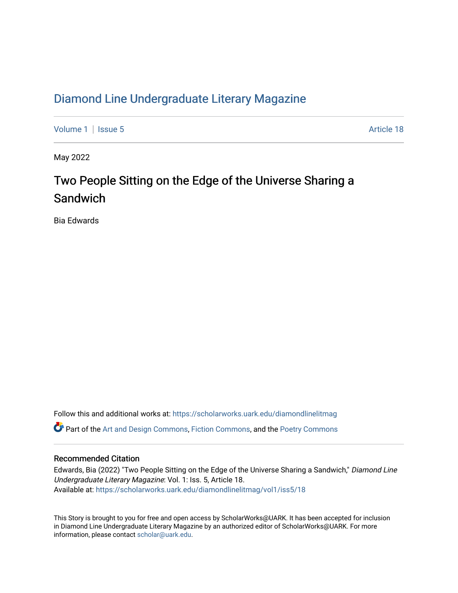## [Diamond Line Undergraduate Literary Magazine](https://scholarworks.uark.edu/diamondlinelitmag)

[Volume 1](https://scholarworks.uark.edu/diamondlinelitmag/vol1) | [Issue 5](https://scholarworks.uark.edu/diamondlinelitmag/vol1/iss5) Article 18

May 2022

# Two People Sitting on the Edge of the Universe Sharing a **Sandwich**

Bia Edwards

Follow this and additional works at: [https://scholarworks.uark.edu/diamondlinelitmag](https://scholarworks.uark.edu/diamondlinelitmag?utm_source=scholarworks.uark.edu%2Fdiamondlinelitmag%2Fvol1%2Fiss5%2F18&utm_medium=PDF&utm_campaign=PDFCoverPages)  **C** Part of the [Art and Design Commons](http://network.bepress.com/hgg/discipline/1049?utm_source=scholarworks.uark.edu%2Fdiamondlinelitmag%2Fvol1%2Fiss5%2F18&utm_medium=PDF&utm_campaign=PDFCoverPages), [Fiction Commons](http://network.bepress.com/hgg/discipline/1151?utm_source=scholarworks.uark.edu%2Fdiamondlinelitmag%2Fvol1%2Fiss5%2F18&utm_medium=PDF&utm_campaign=PDFCoverPages), and the Poetry Commons

#### Recommended Citation

Edwards, Bia (2022) "Two People Sitting on the Edge of the Universe Sharing a Sandwich," Diamond Line Undergraduate Literary Magazine: Vol. 1: Iss. 5, Article 18. Available at: [https://scholarworks.uark.edu/diamondlinelitmag/vol1/iss5/18](https://scholarworks.uark.edu/diamondlinelitmag/vol1/iss5/18?utm_source=scholarworks.uark.edu%2Fdiamondlinelitmag%2Fvol1%2Fiss5%2F18&utm_medium=PDF&utm_campaign=PDFCoverPages) 

This Story is brought to you for free and open access by ScholarWorks@UARK. It has been accepted for inclusion in Diamond Line Undergraduate Literary Magazine by an authorized editor of ScholarWorks@UARK. For more information, please contact [scholar@uark.edu.](mailto:scholar@uark.edu)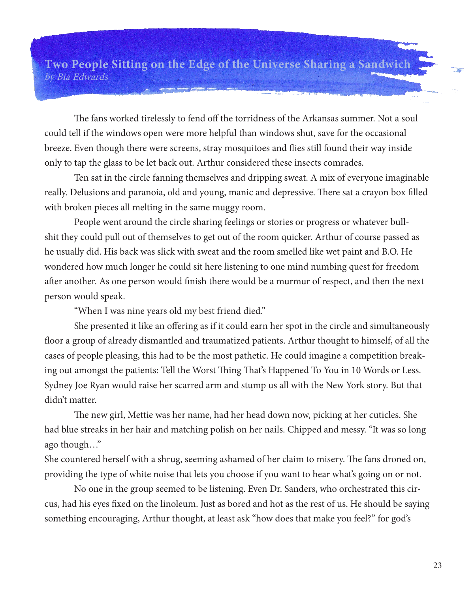### Two People Sitting on the Edge of the Universe Sharing a Sandwich by Bia Edwards

The fans worked tirelessly to fend off the torridness of the Arkansas summer. Not a soul could tell if the windows open were more helpful than windows shut, save for the occasional breeze. Even though there were screens, stray mosquitoes and flies still found their way inside only to tap the glass to be let back out. Arthur considered these insects comrades.

Ten sat in the circle fanning themselves and dripping sweat. A mix of everyone imaginable really. Delusions and paranoia, old and young, manic and depressive. There sat a crayon box filled with broken pieces all melting in the same muggy room.

People went around the circle sharing feelings or stories or progress or whatever bullshit they could pull out of themselves to get out of the room quicker. Arthur of course passed as he usually did. His back was slick with sweat and the room smelled like wet paint and B.O. He wondered how much longer he could sit here listening to one mind numbing quest for freedom after another. As one person would finish there would be a murmur of respect, and then the next person would speak.

"When I was nine years old my best friend died."

She presented it like an offering as if it could earn her spot in the circle and simultaneously floor a group of already dismantled and traumatized patients. Arthur thought to himself, of all the cases of people pleasing, this had to be the most pathetic. He could imagine a competition breaking out amongst the patients: Tell the Worst Thing That's Happened To You in 10 Words or Less. Sydney Joe Ryan would raise her scarred arm and stump us all with the New York story. But that didn't matter.

The new girl, Mettie was her name, had her head down now, picking at her cuticles. She had blue streaks in her hair and matching polish on her nails. Chipped and messy. "It was so long ago though…"

She countered herself with a shrug, seeming ashamed of her claim to misery. The fans droned on, providing the type of white noise that lets you choose if you want to hear what's going on or not.

No one in the group seemed to be listening. Even Dr. Sanders, who orchestrated this circus, had his eyes fixed on the linoleum. Just as bored and hot as the rest of us. He should be saying something encouraging, Arthur thought, at least ask "how does that make you feel?" for god's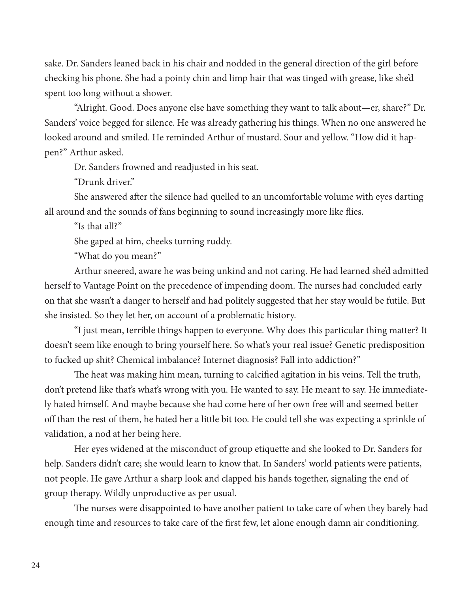sake. Dr. Sanders leaned back in his chair and nodded in the general direction of the girl before checking his phone. She had a pointy chin and limp hair that was tinged with grease, like she'd spent too long without a shower.

"Alright. Good. Does anyone else have something they want to talk about—er, share?" Dr. Sanders' voice begged for silence. He was already gathering his things. When no one answered he looked around and smiled. He reminded Arthur of mustard. Sour and yellow. "How did it happen?" Arthur asked.

Dr. Sanders frowned and readjusted in his seat.

"Drunk driver."

She answered after the silence had quelled to an uncomfortable volume with eyes darting all around and the sounds of fans beginning to sound increasingly more like flies.

"Is that all?"

She gaped at him, cheeks turning ruddy.

"What do you mean?"

Arthur sneered, aware he was being unkind and not caring. He had learned she'd admitted herself to Vantage Point on the precedence of impending doom. The nurses had concluded early on that she wasn't a danger to herself and had politely suggested that her stay would be futile. But she insisted. So they let her, on account of a problematic history.

"I just mean, terrible things happen to everyone. Why does this particular thing matter? It doesn't seem like enough to bring yourself here. So what's your real issue? Genetic predisposition to fucked up shit? Chemical imbalance? Internet diagnosis? Fall into addiction?"

The heat was making him mean, turning to calcified agitation in his veins. Tell the truth, don't pretend like that's what's wrong with you. He wanted to say. He meant to say. He immediately hated himself. And maybe because she had come here of her own free will and seemed better off than the rest of them, he hated her a little bit too. He could tell she was expecting a sprinkle of validation, a nod at her being here.

Her eyes widened at the misconduct of group etiquette and she looked to Dr. Sanders for help. Sanders didn't care; she would learn to know that. In Sanders' world patients were patients, not people. He gave Arthur a sharp look and clapped his hands together, signaling the end of group therapy. Wildly unproductive as per usual.

The nurses were disappointed to have another patient to take care of when they barely had enough time and resources to take care of the first few, let alone enough damn air conditioning.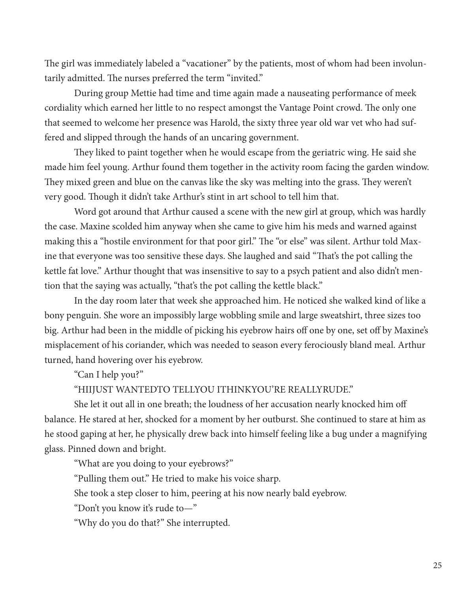The girl was immediately labeled a "vacationer" by the patients, most of whom had been involuntarily admitted. The nurses preferred the term "invited."

During group Mettie had time and time again made a nauseating performance of meek cordiality which earned her little to no respect amongst the Vantage Point crowd. The only one that seemed to welcome her presence was Harold, the sixty three year old war vet who had suffered and slipped through the hands of an uncaring government.

They liked to paint together when he would escape from the geriatric wing. He said she made him feel young. Arthur found them together in the activity room facing the garden window. They mixed green and blue on the canvas like the sky was melting into the grass. They weren't very good. Though it didn't take Arthur's stint in art school to tell him that.

Word got around that Arthur caused a scene with the new girl at group, which was hardly the case. Maxine scolded him anyway when she came to give him his meds and warned against making this a "hostile environment for that poor girl." The "or else" was silent. Arthur told Maxine that everyone was too sensitive these days. She laughed and said "That's the pot calling the kettle fat love." Arthur thought that was insensitive to say to a psych patient and also didn't mention that the saying was actually, "that's the pot calling the kettle black."

In the day room later that week she approached him. He noticed she walked kind of like a bony penguin. She wore an impossibly large wobbling smile and large sweatshirt, three sizes too big. Arthur had been in the middle of picking his eyebrow hairs off one by one, set off by Maxine's misplacement of his coriander, which was needed to season every ferociously bland meal. Arthur turned, hand hovering over his eyebrow.

"Can I help you?"

#### "HIIJUST WANTEDTO TELLYOU ITHINKYOU'RE REALLYRUDE."

She let it out all in one breath; the loudness of her accusation nearly knocked him off balance. He stared at her, shocked for a moment by her outburst. She continued to stare at him as he stood gaping at her, he physically drew back into himself feeling like a bug under a magnifying glass. Pinned down and bright.

"What are you doing to your eyebrows?"

"Pulling them out." He tried to make his voice sharp.

She took a step closer to him, peering at his now nearly bald eyebrow.

"Don't you know it's rude to—"

"Why do you do that?" She interrupted.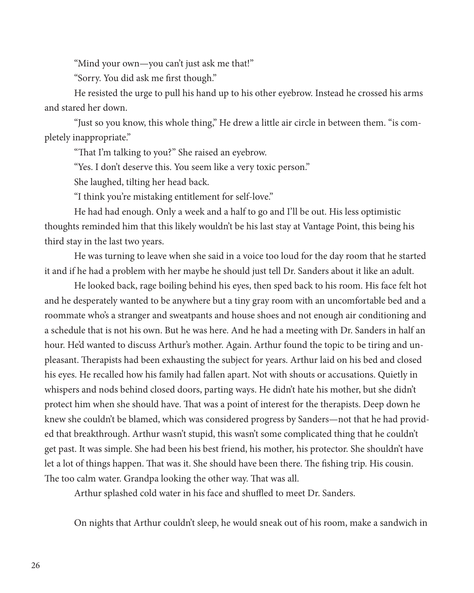"Mind your own—you can't just ask me that!"

"Sorry. You did ask me first though."

He resisted the urge to pull his hand up to his other eyebrow. Instead he crossed his arms and stared her down.

"Just so you know, this whole thing," He drew a little air circle in between them. "is completely inappropriate."

"That I'm talking to you?" She raised an eyebrow.

"Yes. I don't deserve this. You seem like a very toxic person."

She laughed, tilting her head back.

"I think you're mistaking entitlement for self-love."

He had had enough. Only a week and a half to go and I'll be out. His less optimistic thoughts reminded him that this likely wouldn't be his last stay at Vantage Point, this being his third stay in the last two years.

He was turning to leave when she said in a voice too loud for the day room that he started it and if he had a problem with her maybe he should just tell Dr. Sanders about it like an adult.

He looked back, rage boiling behind his eyes, then sped back to his room. His face felt hot and he desperately wanted to be anywhere but a tiny gray room with an uncomfortable bed and a roommate who's a stranger and sweatpants and house shoes and not enough air conditioning and a schedule that is not his own. But he was here. And he had a meeting with Dr. Sanders in half an hour. He'd wanted to discuss Arthur's mother. Again. Arthur found the topic to be tiring and unpleasant. Therapists had been exhausting the subject for years. Arthur laid on his bed and closed his eyes. He recalled how his family had fallen apart. Not with shouts or accusations. Quietly in whispers and nods behind closed doors, parting ways. He didn't hate his mother, but she didn't protect him when she should have. That was a point of interest for the therapists. Deep down he knew she couldn't be blamed, which was considered progress by Sanders—not that he had provided that breakthrough. Arthur wasn't stupid, this wasn't some complicated thing that he couldn't get past. It was simple. She had been his best friend, his mother, his protector. She shouldn't have let a lot of things happen. That was it. She should have been there. The fishing trip. His cousin. The too calm water. Grandpa looking the other way. That was all.

Arthur splashed cold water in his face and shuffled to meet Dr. Sanders.

On nights that Arthur couldn't sleep, he would sneak out of his room, make a sandwich in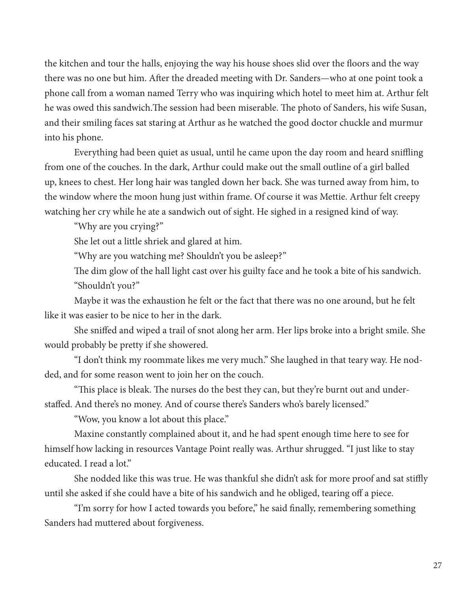the kitchen and tour the halls, enjoying the way his house shoes slid over the floors and the way there was no one but him. After the dreaded meeting with Dr. Sanders—who at one point took a phone call from a woman named Terry who was inquiring which hotel to meet him at. Arthur felt he was owed this sandwich.The session had been miserable. The photo of Sanders, his wife Susan, and their smiling faces sat staring at Arthur as he watched the good doctor chuckle and murmur into his phone.

Everything had been quiet as usual, until he came upon the day room and heard sniffling from one of the couches. In the dark, Arthur could make out the small outline of a girl balled up, knees to chest. Her long hair was tangled down her back. She was turned away from him, to the window where the moon hung just within frame. Of course it was Mettie. Arthur felt creepy watching her cry while he ate a sandwich out of sight. He sighed in a resigned kind of way.

"Why are you crying?"

She let out a little shriek and glared at him.

"Why are you watching me? Shouldn't you be asleep?"

The dim glow of the hall light cast over his guilty face and he took a bite of his sandwich. "Shouldn't you?"

Maybe it was the exhaustion he felt or the fact that there was no one around, but he felt like it was easier to be nice to her in the dark.

She sniffed and wiped a trail of snot along her arm. Her lips broke into a bright smile. She would probably be pretty if she showered.

"I don't think my roommate likes me very much." She laughed in that teary way. He nodded, and for some reason went to join her on the couch.

"This place is bleak. The nurses do the best they can, but they're burnt out and understaffed. And there's no money. And of course there's Sanders who's barely licensed."

"Wow, you know a lot about this place."

Maxine constantly complained about it, and he had spent enough time here to see for himself how lacking in resources Vantage Point really was. Arthur shrugged. "I just like to stay educated. I read a lot."

She nodded like this was true. He was thankful she didn't ask for more proof and sat stiffly until she asked if she could have a bite of his sandwich and he obliged, tearing off a piece.

"I'm sorry for how I acted towards you before," he said finally, remembering something Sanders had muttered about forgiveness.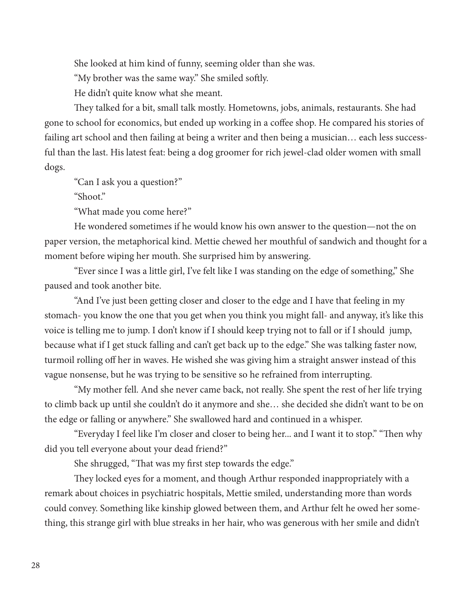She looked at him kind of funny, seeming older than she was.

"My brother was the same way." She smiled softly.

He didn't quite know what she meant.

They talked for a bit, small talk mostly. Hometowns, jobs, animals, restaurants. She had gone to school for economics, but ended up working in a coffee shop. He compared his stories of failing art school and then failing at being a writer and then being a musician… each less successful than the last. His latest feat: being a dog groomer for rich jewel-clad older women with small dogs.

"Can I ask you a question?"

"Shoot."

"What made you come here?"

He wondered sometimes if he would know his own answer to the question—not the on paper version, the metaphorical kind. Mettie chewed her mouthful of sandwich and thought for a moment before wiping her mouth. She surprised him by answering.

"Ever since I was a little girl, I've felt like I was standing on the edge of something," She paused and took another bite.

"And I've just been getting closer and closer to the edge and I have that feeling in my stomach- you know the one that you get when you think you might fall- and anyway, it's like this voice is telling me to jump. I don't know if I should keep trying not to fall or if I should jump, because what if I get stuck falling and can't get back up to the edge." She was talking faster now, turmoil rolling off her in waves. He wished she was giving him a straight answer instead of this vague nonsense, but he was trying to be sensitive so he refrained from interrupting.

"My mother fell. And she never came back, not really. She spent the rest of her life trying to climb back up until she couldn't do it anymore and she… she decided she didn't want to be on the edge or falling or anywhere." She swallowed hard and continued in a whisper.

"Everyday I feel like I'm closer and closer to being her... and I want it to stop." "Then why did you tell everyone about your dead friend?"

She shrugged, "That was my first step towards the edge."

They locked eyes for a moment, and though Arthur responded inappropriately with a remark about choices in psychiatric hospitals, Mettie smiled, understanding more than words could convey. Something like kinship glowed between them, and Arthur felt he owed her something, this strange girl with blue streaks in her hair, who was generous with her smile and didn't